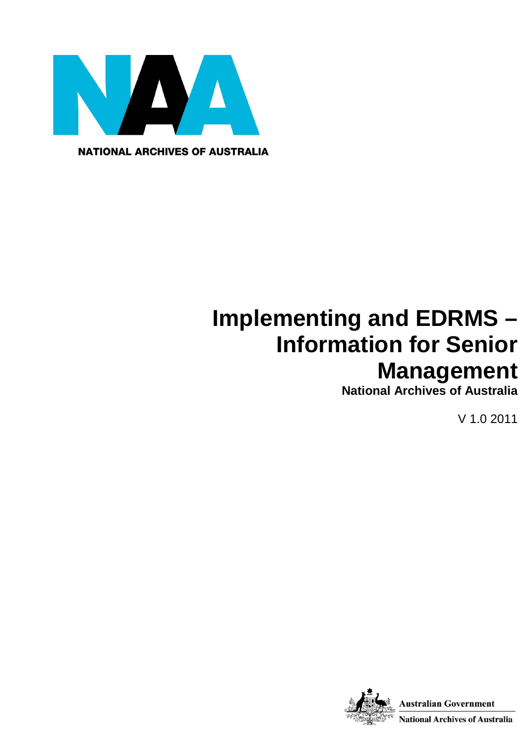

**NATIONAL ARCHIVES OF AUSTRALIA** 

# **Implementing and EDRMS – Information for Senior Management**

**National Archives of Australia**

V 1.0 2011

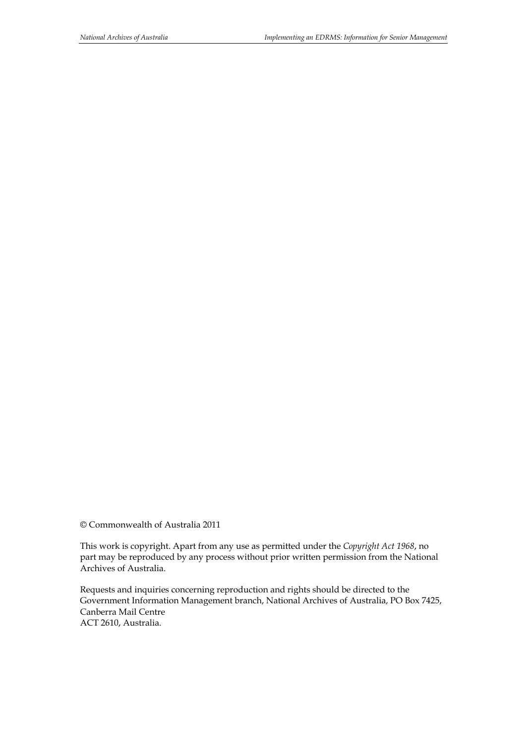© Commonwealth of Australia 2011

This work is copyright. Apart from any use as permitted under the *Copyright Act 1968*, no part may be reproduced by any process without prior written permission from the National Archives of Australia.

Requests and inquiries concerning reproduction and rights should be directed to the Government Information Management branch, National Archives of Australia, PO Box 7425, Canberra Mail Centre ACT 2610, Australia.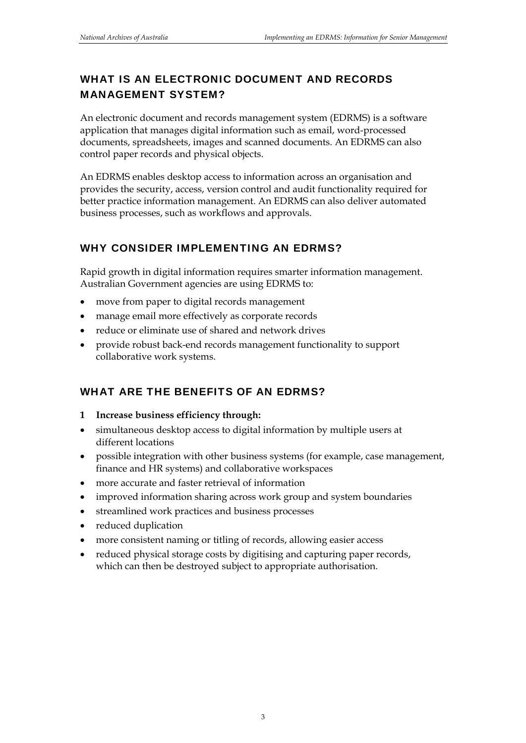### WHAT IS AN ELECTRONIC DOCUMENT AND RECORDS MANAGEMENT SYSTEM?

An electronic document and records management system (EDRMS) is a software application that manages digital information such as email, word-processed documents, spreadsheets, images and scanned documents. An EDRMS can also control paper records and physical objects.

An EDRMS enables desktop access to information across an organisation and provides the security, access, version control and audit functionality required for better practice information management. An EDRMS can also deliver automated business processes, such as workflows and approvals.

#### WHY CONSIDER IMPLEMENTING AN EDRMS?

Rapid growth in digital information requires smarter information management. Australian Government agencies are using EDRMS to:

- move from paper to digital records management
- manage email more effectively as corporate records
- reduce or eliminate use of shared and network drives
- provide robust back-end records management functionality to support collaborative work systems.

## WHAT ARE THE BENEFITS OF AN EDRMS?

#### **1 Increase business efficiency through:**

- simultaneous desktop access to digital information by multiple users at different locations
- possible integration with other business systems (for example, case management, finance and HR systems) and collaborative workspaces
- more accurate and faster retrieval of information
- improved information sharing across work group and system boundaries
- streamlined work practices and business processes
- reduced duplication
- more consistent naming or titling of records, allowing easier access
- reduced physical storage costs by digitising and capturing paper records, which can then be destroyed subject to appropriate authorisation.